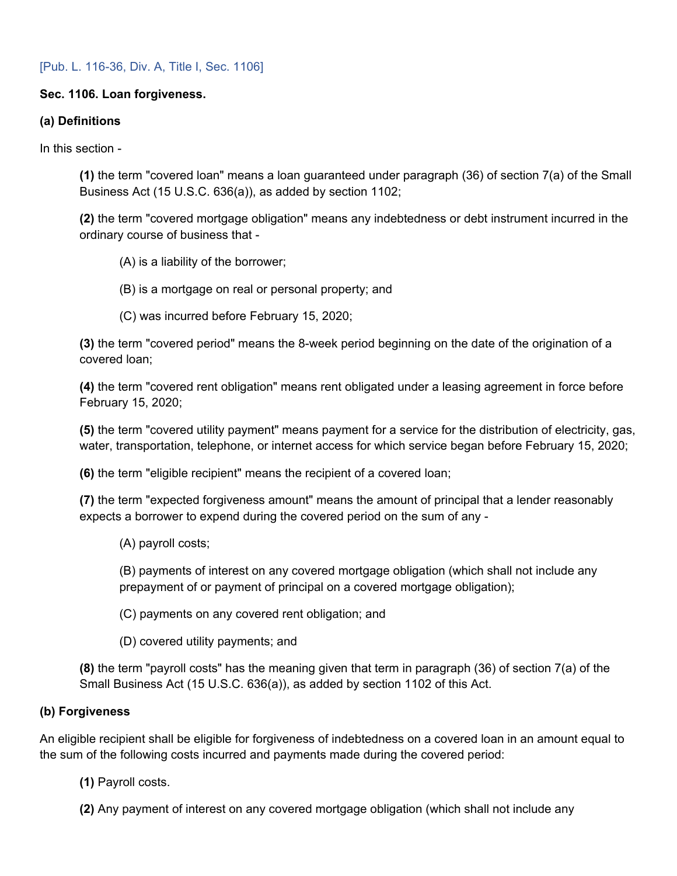### [Pub. L. 116-36, Div. A, Title I, Sec. 1106]

### **Sec. 1106. Loan forgiveness.**

#### **(a) Definitions**

In this section -

**(1)** the term "covered loan" means a loan guaranteed under paragraph (36) of section 7(a) of the Small Business Act (15 U.S.C. 636(a)), as added by section 1102;

**(2)** the term "covered mortgage obligation" means any indebtedness or debt instrument incurred in the ordinary course of business that -

- (A) is a liability of the borrower;
- (B) is a mortgage on real or personal property; and
- (C) was incurred before February 15, 2020;

**(3)** the term "covered period" means the 8-week period beginning on the date of the origination of a covered loan;

**(4)** the term "covered rent obligation" means rent obligated under a leasing agreement in force before February 15, 2020;

**(5)** the term "covered utility payment" means payment for a service for the distribution of electricity, gas, water, transportation, telephone, or internet access for which service began before February 15, 2020;

**(6)** the term "eligible recipient" means the recipient of a covered loan;

**(7)** the term "expected forgiveness amount" means the amount of principal that a lender reasonably expects a borrower to expend during the covered period on the sum of any -

(A) payroll costs;

(B) payments of interest on any covered mortgage obligation (which shall not include any prepayment of or payment of principal on a covered mortgage obligation);

(C) payments on any covered rent obligation; and

(D) covered utility payments; and

**(8)** the term "payroll costs" has the meaning given that term in paragraph (36) of section 7(a) of the Small Business Act (15 U.S.C. 636(a)), as added by section 1102 of this Act.

#### **(b) Forgiveness**

An eligible recipient shall be eligible for forgiveness of indebtedness on a covered loan in an amount equal to the sum of the following costs incurred and payments made during the covered period:

- **(1)** Payroll costs.
- **(2)** Any payment of interest on any covered mortgage obligation (which shall not include any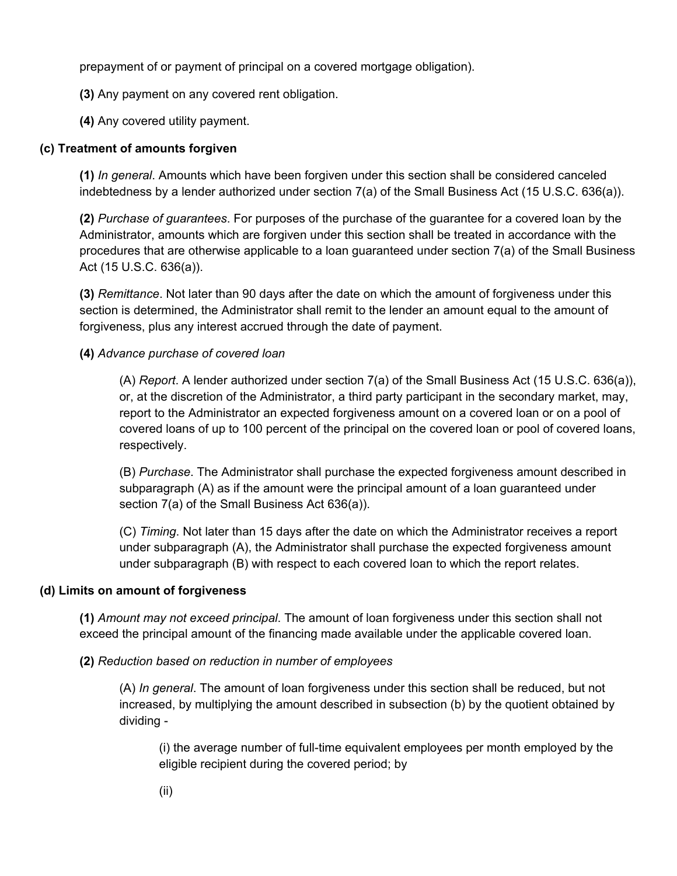prepayment of or payment of principal on a covered mortgage obligation).

**(3)** Any payment on any covered rent obligation.

**(4)** Any covered utility payment.

## **(c) Treatment of amounts forgiven**

**(1)** *In general*. Amounts which have been forgiven under this section shall be considered canceled indebtedness by a lender authorized under section 7(a) of the Small Business Act (15 U.S.C. 636(a)).

**(2)** *Purchase of guarantees*. For purposes of the purchase of the guarantee for a covered loan by the Administrator, amounts which are forgiven under this section shall be treated in accordance with the procedures that are otherwise applicable to a loan guaranteed under section 7(a) of the Small Business Act (15 U.S.C. 636(a)).

**(3)** *Remittance*. Not later than 90 days after the date on which the amount of forgiveness under this section is determined, the Administrator shall remit to the lender an amount equal to the amount of forgiveness, plus any interest accrued through the date of payment.

### **(4)** *Advance purchase of covered loan*

(A) *Report*. A lender authorized under section 7(a) of the Small Business Act (15 U.S.C. 636(a)), or, at the discretion of the Administrator, a third party participant in the secondary market, may, report to the Administrator an expected forgiveness amount on a covered loan or on a pool of covered loans of up to 100 percent of the principal on the covered loan or pool of covered loans, respectively.

(B) *Purchase*. The Administrator shall purchase the expected forgiveness amount described in subparagraph (A) as if the amount were the principal amount of a loan guaranteed under section 7(a) of the Small Business Act 636(a)).

(C) *Timing*. Not later than 15 days after the date on which the Administrator receives a report under subparagraph (A), the Administrator shall purchase the expected forgiveness amount under subparagraph (B) with respect to each covered loan to which the report relates.

#### **(d) Limits on amount of forgiveness**

**(1)** *Amount may not exceed principal*. The amount of loan forgiveness under this section shall not exceed the principal amount of the financing made available under the applicable covered loan.

**(2)** *Reduction based on reduction in number of employees* 

(A) *In general*. The amount of loan forgiveness under this section shall be reduced, but not increased, by multiplying the amount described in subsection (b) by the quotient obtained by dividing -

(i) the average number of full-time equivalent employees per month employed by the eligible recipient during the covered period; by

(ii)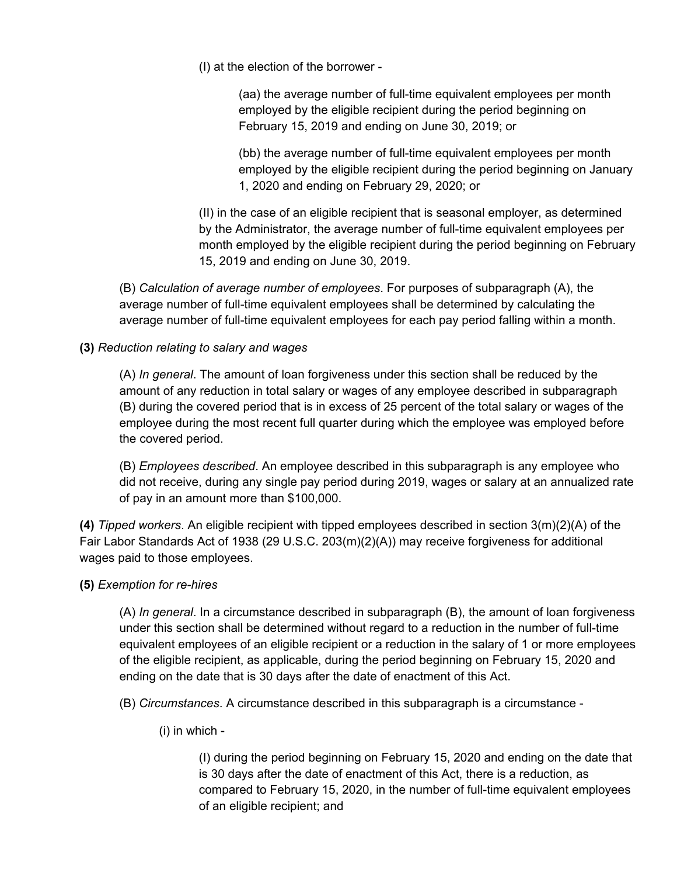(I) at the election of the borrower -

(aa) the average number of full-time equivalent employees per month employed by the eligible recipient during the period beginning on February 15, 2019 and ending on June 30, 2019; or

(bb) the average number of full-time equivalent employees per month employed by the eligible recipient during the period beginning on January 1, 2020 and ending on February 29, 2020; or

(II) in the case of an eligible recipient that is seasonal employer, as determined by the Administrator, the average number of full-time equivalent employees per month employed by the eligible recipient during the period beginning on February 15, 2019 and ending on June 30, 2019.

(B) *Calculation of average number of employees*. For purposes of subparagraph (A), the average number of full-time equivalent employees shall be determined by calculating the average number of full-time equivalent employees for each pay period falling within a month.

# **(3)** *Reduction relating to salary and wages*

(A) *In general*. The amount of loan forgiveness under this section shall be reduced by the amount of any reduction in total salary or wages of any employee described in subparagraph (B) during the covered period that is in excess of 25 percent of the total salary or wages of the employee during the most recent full quarter during which the employee was employed before the covered period.

(B) *Employees described*. An employee described in this subparagraph is any employee who did not receive, during any single pay period during 2019, wages or salary at an annualized rate of pay in an amount more than \$100,000.

**(4)** *Tipped workers*. An eligible recipient with tipped employees described in section 3(m)(2)(A) of the Fair Labor Standards Act of 1938 (29 U.S.C. 203(m)(2)(A)) may receive forgiveness for additional wages paid to those employees.

#### **(5)** *Exemption for re-hires*

(A) *In general*. In a circumstance described in subparagraph (B), the amount of loan forgiveness under this section shall be determined without regard to a reduction in the number of full-time equivalent employees of an eligible recipient or a reduction in the salary of 1 or more employees of the eligible recipient, as applicable, during the period beginning on February 15, 2020 and ending on the date that is 30 days after the date of enactment of this Act.

(B) *Circumstances*. A circumstance described in this subparagraph is a circumstance -

(i) in which -

(I) during the period beginning on February 15, 2020 and ending on the date that is 30 days after the date of enactment of this Act, there is a reduction, as compared to February 15, 2020, in the number of full-time equivalent employees of an eligible recipient; and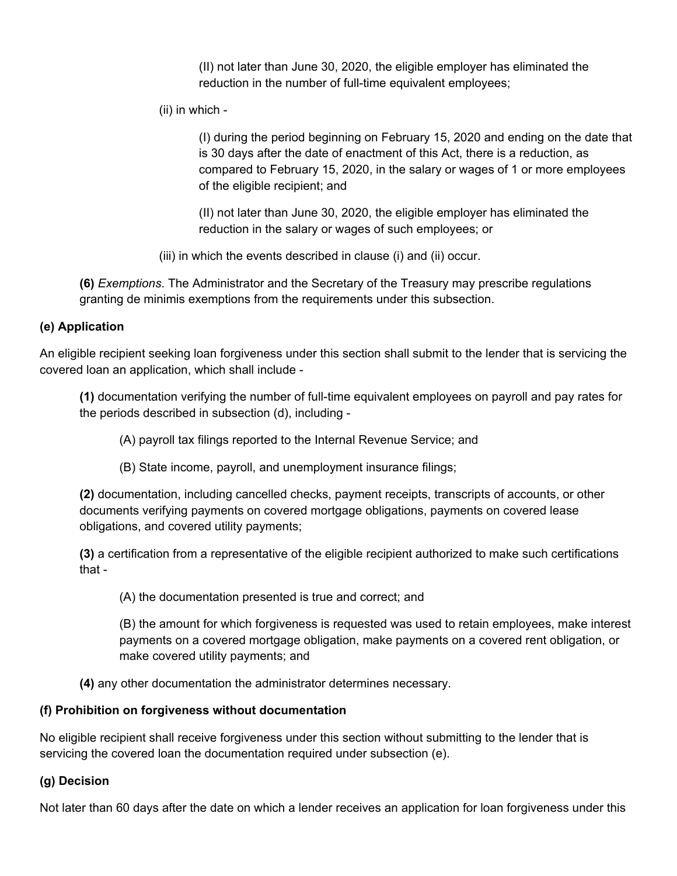(II) not later than June 30, 2020, the eligible employer has eliminated the reduction in the number of full-time equivalent employees;

(ii) in which -

(I) during the period beginning on February 15, 2020 and ending on the date that is 30 days after the date of enactment of this Act, there is a reduction, as compared to February 15, 2020, in the salary or wages of 1 or more employees of the eligible recipient; and

(II) not later than June 30, 2020, the eligible employer has eliminated the reduction in the salary or wages of such employees; or

(iii) in which the events described in clause (i) and (ii) occur.

**(6)** *Exemptions*. The Administrator and the Secretary of the Treasury may prescribe regulations granting de minimis exemptions from the requirements under this subsection.

# **(e) Application**

An eligible recipient seeking loan forgiveness under this section shall submit to the lender that is servicing the covered loan an application, which shall include -

**(1)** documentation verifying the number of full-time equivalent employees on payroll and pay rates for the periods described in subsection (d), including -

(A) payroll tax filings reported to the Internal Revenue Service; and

(B) State income, payroll, and unemployment insurance filings;

**(2)** documentation, including cancelled checks, payment receipts, transcripts of accounts, or other documents verifying payments on covered mortgage obligations, payments on covered lease obligations, and covered utility payments;

**(3)** a certification from a representative of the eligible recipient authorized to make such certifications that -

(A) the documentation presented is true and correct; and

(B) the amount for which forgiveness is requested was used to retain employees, make interest payments on a covered mortgage obligation, make payments on a covered rent obligation, or make covered utility payments; and

**(4)** any other documentation the administrator determines necessary.

# **(f) Prohibition on forgiveness without documentation**

No eligible recipient shall receive forgiveness under this section without submitting to the lender that is servicing the covered loan the documentation required under subsection (e).

# **(g) Decision**

Not later than 60 days after the date on which a lender receives an application for loan forgiveness under this